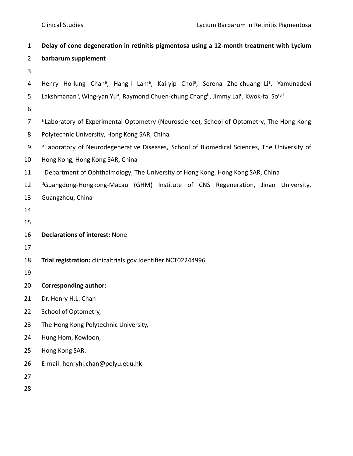| $\mathbf{1}$     | Delay of cone degeneration in retinitis pigmentosa using a 12-month treatment with Lycium                                                         |
|------------------|---------------------------------------------------------------------------------------------------------------------------------------------------|
| $\overline{2}$   | barbarum supplement                                                                                                                               |
| 3                |                                                                                                                                                   |
| 4                | Henry Ho-lung Chan <sup>a</sup> , Hang-i Lam <sup>a</sup> , Kai-yip Choi <sup>a</sup> , Serena Zhe-chuang Li <sup>a</sup> , Yamunadevi            |
| 5                | Lakshmanan <sup>a</sup> , Wing-yan Yu <sup>a</sup> , Raymond Chuen-chung Chang <sup>b</sup> , Jimmy Lai <sup>c</sup> , Kwok-fai So <sup>c,d</sup> |
| 6                |                                                                                                                                                   |
| $\overline{7}$   | a Laboratory of Experimental Optometry (Neuroscience), School of Optometry, The Hong Kong                                                         |
| 8                | Polytechnic University, Hong Kong SAR, China.                                                                                                     |
| $\boldsymbol{9}$ | <sup>b</sup> Laboratory of Neurodegenerative Diseases, School of Biomedical Sciences, The University of                                           |
| 10               | Hong Kong, Hong Kong SAR, China                                                                                                                   |
| 11               | <sup>c</sup> Department of Ophthalmology, The University of Hong Kong, Hong Kong SAR, China                                                       |
| 12               | <sup>d</sup> Guangdong-Hongkong-Macau (GHM) Institute of CNS Regeneration, Jinan University,                                                      |
| 13               | Guangzhou, China                                                                                                                                  |
| 14               |                                                                                                                                                   |
| 15               |                                                                                                                                                   |
| 16               | <b>Declarations of interest: None</b>                                                                                                             |
| 17               |                                                                                                                                                   |
| 18               | Trial registration: clinicaltrials.gov Identifier NCT02244996                                                                                     |
| 19               |                                                                                                                                                   |
| 20               | <b>Corresponding author:</b>                                                                                                                      |
| 21               | Dr. Henry H.L. Chan                                                                                                                               |
| 22               | School of Optometry,                                                                                                                              |
| 23               | The Hong Kong Polytechnic University,                                                                                                             |
| 24               | Hung Hom, Kowloon,                                                                                                                                |
| 25               | Hong Kong SAR.                                                                                                                                    |
| 26               | E-mail: henryhl.chan@polyu.edu.hk                                                                                                                 |
| 27               |                                                                                                                                                   |
| 28               |                                                                                                                                                   |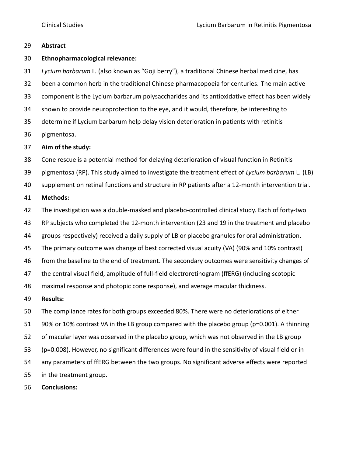# **Abstract**

# **Ethnopharmacological relevance:**

 *Lycium barbarum* L*.* (also known as "Goji berry"), a traditional Chinese herbal medicine, has been a common herb in the traditional Chinese pharmacopoeia for centuries. The main active component is the Lycium barbarum polysaccharides and its antioxidative effect has been widely shown to provide neuroprotection to the eye, and it would, therefore, be interesting to determine if Lycium barbarum help delay vision deterioration in patients with retinitis pigmentosa.

# **Aim of the study:**

Cone rescue is a potential method for delaying deterioration of visual function in Retinitis

pigmentosa (RP). This study aimed to investigate the treatment effect of *Lycium barbarum* L. (LB)

supplement on retinal functions and structure in RP patients after a 12-month intervention trial.

# **Methods:**

The investigation was a double-masked and placebo-controlled clinical study. Each of forty-two

RP subjects who completed the 12-month intervention (23 and 19 in the treatment and placebo

groups respectively) received a daily supply of LB or placebo granules for oral administration.

The primary outcome was change of best corrected visual acuity (VA) (90% and 10% contrast)

from the baseline to the end of treatment. The secondary outcomes were sensitivity changes of

the central visual field, amplitude of full-field electroretinogram (ffERG) (including scotopic

maximal response and photopic cone response), and average macular thickness.

# **Results:**

The compliance rates for both groups exceeded 80%. There were no deteriorations of either

90% or 10% contrast VA in the LB group compared with the placebo group (p=0.001). A thinning

of macular layer was observed in the placebo group, which was not observed in the LB group

(p=0.008). However, no significant differences were found in the sensitivity of visual field or in

any parameters of ffERG between the two groups. No significant adverse effects were reported

in the treatment group.

**Conclusions:**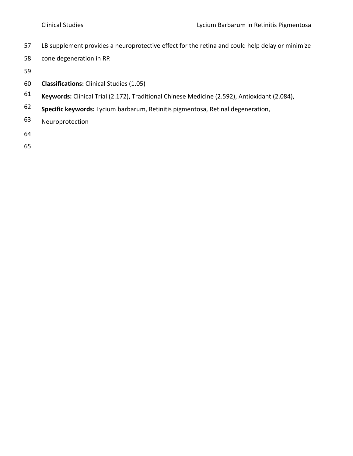- 57 LB supplement provides a neuroprotective effect for the retina and could help delay or minimize
- 58 cone degeneration in RP.
- 59
- 60 **Classifications:** Clinical Studies (1.05)
- **Keywords:** Clinical Trial (2.172), Traditional Chinese Medicine (2.592), Antioxidant (2.084), 61
- **Specific keywords:** Lycium barbarum, Retinitis pigmentosa, Retinal degeneration, 62
- 63 Neuroprotection
- 64
- 65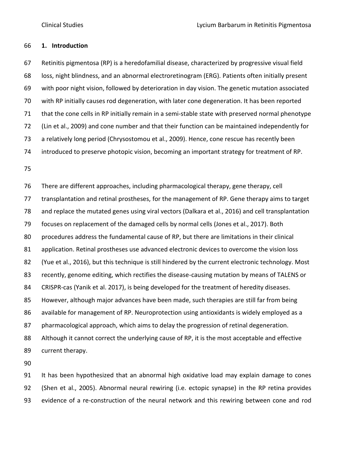# **1. Introduction**

 Retinitis pigmentosa (RP) is a heredofamilial disease, characterized by progressive visual field loss, night blindness, and an abnormal electroretinogram (ERG). Patients often initially present with poor night vision, followed by deterioration in day vision. The genetic mutation associated with RP initially causes rod degeneration, with later cone degeneration. It has been reported that the cone cells in RP initially remain in a semi-stable state with preserved normal phenotype (Lin et al., 2009) and cone number and that their function can be maintained independently for a relatively long period (Chrysostomou et al., 2009). Hence, cone rescue has recently been introduced to preserve photopic vision, becoming an important strategy for treatment of RP.

 There are different approaches, including pharmacological therapy, gene therapy, cell transplantation and retinal prostheses, for the management of RP. Gene therapy aims to target and replace the mutated genes using viral vectors (Dalkara et al., 2016) and cell transplantation focuses on replacement of the damaged cells by normal cells (Jones et al., 2017). Both procedures address the fundamental cause of RP, but there are limitations in their clinical 81 application. Retinal prostheses use advanced electronic devices to overcome the vision loss (Yue et al., 2016), but this technique is still hindered by the current electronic technology. Most recently, genome editing, which rectifies the disease-causing mutation by means of TALENS or CRISPR-cas (Yanik et al. 2017), is being developed for the treatment of heredity diseases. However, although major advances have been made, such therapies are still far from being available for management of RP. Neuroprotection using antioxidants is widely employed as a pharmacological approach, which aims to delay the progression of retinal degeneration. Although it cannot correct the underlying cause of RP, it is the most acceptable and effective current therapy.

 It has been hypothesized that an abnormal high oxidative load may explain damage to cones (Shen et al., 2005). Abnormal neural rewiring (i.e. ectopic synapse) in the RP retina provides evidence of a re-construction of the neural network and this rewiring between cone and rod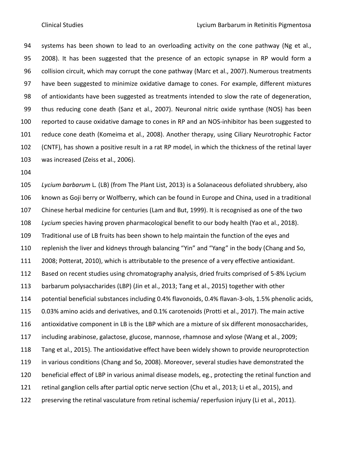94 systems has been shown to lead to an overloading activity on the cone pathway (Ng et al., 2008). It has been suggested that the presence of an ectopic synapse in RP would form a 96 collision circuit, which may corrupt the cone pathway (Marc et al., 2007). Numerous treatments have been suggested to minimize oxidative damage to cones. For example, different mixtures of antioxidants have been suggested as treatments intended to slow the rate of degeneration, thus reducing cone death (Sanz et al., 2007). Neuronal nitric oxide synthase (NOS) has been reported to cause oxidative damage to cones in RP and an NOS-inhibitor has been suggested to reduce cone death (Komeima et al., 2008). Another therapy, using Ciliary Neurotrophic Factor (CNTF), has shown a positive result in a rat RP model, in which the thickness of the retinal layer was increased (Zeiss et al., 2006).

 *Lycium barbarum* L*.* (LB) (from The Plant List, 2013) is a Solanaceous defoliated shrubbery, also known as Goji berry or Wolfberry, which can be found in Europe and China, used in a traditional Chinese herbal medicine for centuries (Lam and But, 1999). It is recognised as one of the two *Lycium* species having proven pharmacological benefit to our body health (Yao et al., 2018). Traditional use of LB fruits has been shown to help maintain the function of the eyes and replenish the liver and kidneys through balancing "Yin" and "Yang" in the body (Chang and So, 2008; Potterat, 2010), which is attributable to the presence of a very effective antioxidant. Based on recent studies using chromatography analysis, dried fruits comprised of 5-8% Lycium barbarum polysaccharides (LBP) (Jin et al., 2013; Tang et al., 2015) together with other potential beneficial substances including 0.4% flavonoids, 0.4% flavan-3-ols, 1.5% phenolic acids, 0.03% amino acids and derivatives, and 0.1% carotenoids (Protti et al., 2017). The main active antioxidative component in LB is the LBP which are a mixture of six different monosaccharides, including arabinose, galactose, glucose, mannose, rhamnose and xylose (Wang et al., 2009; Tang et al., 2015). The antioxidative effect have been widely shown to provide neuroprotection in various conditions (Chang and So, 2008). Moreover, several studies have demonstrated the beneficial effect of LBP in various animal disease models, eg., protecting the retinal function and retinal ganglion cells after partial optic nerve section (Chu et al., 2013; Li et al., 2015), and preserving the retinal vasculature from retinal ischemia/ reperfusion injury (Li et al., 2011).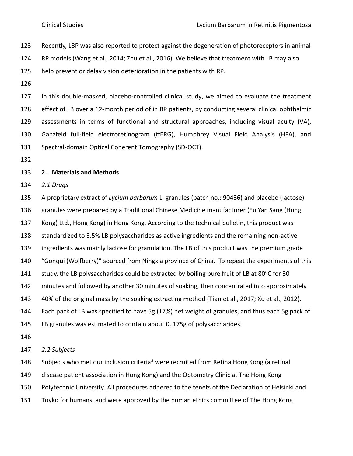- Recently, LBP was also reported to protect against the degeneration of photoreceptors in animal
- RP models (Wang et al., 2014; Zhu et al., 2016). We believe that treatment with LB may also
- help prevent or delay vision deterioration in the patients with RP.
- 

 In this double-masked, placebo-controlled clinical study, we aimed to evaluate the treatment effect of LB over a 12-month period of in RP patients, by conducting several clinical ophthalmic assessments in terms of functional and structural approaches, including visual acuity (VA), Ganzfeld full-field electroretinogram (ffERG), Humphrey Visual Field Analysis (HFA), and Spectral-domain Optical Coherent Tomography (SD-OCT).

# **2. Materials and Methods**

*2.1 Drugs*

 A proprietary extract of *Lycium barbarum* L. granules (batch no.: 90436) and placebo (lactose) granules were prepared by a Traditional Chinese Medicine manufacturer (Eu Yan Sang (Hong Kong) Ltd., Hong Kong) in Hong Kong. According to the technical bulletin, this product was standardized to 3.5% LB polysaccharides as active ingredients and the remaining non-active ingredients was mainly lactose for granulation. The LB of this product was the premium grade "Gonqui (Wolfberry)" sourced from Ningxia province of China. To repeat the experiments of this 141 study, the LB polysaccharides could be extracted by boiling pure fruit of LB at  $80^{\circ}$ C for 30 minutes and followed by another 30 minutes of soaking, then concentrated into approximately 40% of the original mass by the soaking extracting method (Tian et al., 2017; Xu et al., 2012). 144 Each pack of LB was specified to have 5g  $(\pm 7%)$  net weight of granules, and thus each 5g pack of LB granules was estimated to contain about 0. 175g of polysaccharides. 

*2.2 Subjects*

148 Subjects who met our inclusion criteria<sup>#</sup> were recruited from Retina Hong Kong (a retinal

disease patient association in Hong Kong) and the Optometry Clinic at The Hong Kong

- Polytechnic University. All procedures adhered to the tenets of the Declaration of Helsinki and
- Toyko for humans, and were approved by the human ethics committee of The Hong Kong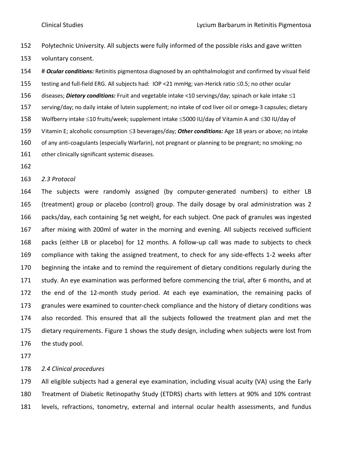Polytechnic University. All subjects were fully informed of the possible risks and gave written voluntary consent.

 # *Ocular conditions:* Retinitis pigmentosa diagnosed by an ophthalmologist and confirmed by visual field 155 testing and full-field ERG. All subjects had: IOP <21 mmHg; van-Herick ratio  $\leq$ 0.5; no other ocular 156 diseases; *Dietary conditions:* Fruit and vegetable intake <10 servings/day; spinach or kale intake  $\leq 1$  serving/day; no daily intake of lutein supplement; no intake of cod liver oil or omega-3 capsules; dietary 158 Wolfberry intake ≤10 fruits/week; supplement intake ≤5000 IU/day of Vitamin A and ≤30 IU/day of 159 Vitamin E; alcoholic consumption  $\leq$ 3 beverages/day; **Other conditions:** Age 18 years or above; no intake of any anti-coagulants (especially Warfarin), not pregnant or planning to be pregnant; no smoking; no 161 other clinically significant systemic diseases.

*2.3 Protocol*

 The subjects were randomly assigned (by computer-generated numbers) to either LB (treatment) group or placebo (control) group. The daily dosage by oral administration was 2 packs/day, each containing 5g net weight, for each subject. One pack of granules was ingested after mixing with 200ml of water in the morning and evening. All subjects received sufficient packs (either LB or placebo) for 12 months. A follow-up call was made to subjects to check compliance with taking the assigned treatment, to check for any side-effects 1-2 weeks after beginning the intake and to remind the requirement of dietary conditions regularly during the study. An eye examination was performed before commencing the trial, after 6 months, and at the end of the 12-month study period. At each eye examination, the remaining packs of granules were examined to counter-check compliance and the history of dietary conditions was also recorded. This ensured that all the subjects followed the treatment plan and met the dietary requirements. Figure 1 shows the study design, including when subjects were lost from the study pool.

### *2.4 Clinical procedures*

 All eligible subjects had a general eye examination, including visual acuity (VA) using the Early Treatment of Diabetic Retinopathy Study (ETDRS) charts with letters at 90% and 10% contrast levels, refractions, tonometry, external and internal ocular health assessments, and fundus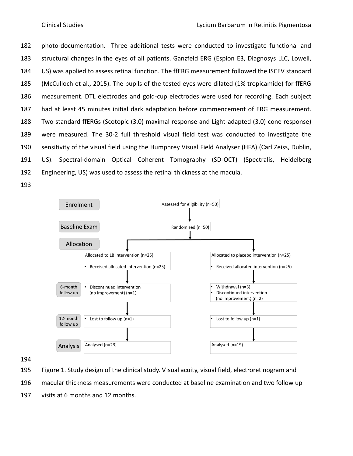photo-documentation. Three additional tests were conducted to investigate functional and structural changes in the eyes of all patients. Ganzfeld ERG (Espion E3, Diagnosys LLC, Lowell, US) was applied to assess retinal function. The ffERG measurement followed the ISCEV standard (McCulloch et al., 2015). The pupils of the tested eyes were dilated (1% tropicamide) for ffERG measurement. DTL electrodes and gold-cup electrodes were used for recording. Each subject had at least 45 minutes initial dark adaptation before commencement of ERG measurement. Two standard ffERGs (Scotopic (3.0) maximal response and Light-adapted (3.0) cone response) were measured. The 30-2 full threshold visual field test was conducted to investigate the sensitivity of the visual field using the Humphrey Visual Field Analyser (HFA) (Carl Zeiss, Dublin, US). Spectral-domain Optical Coherent Tomography (SD-OCT) (Spectralis, Heidelberg Engineering, US) was used to assess the retinal thickness at the macula.





- Figure 1. Study design of the clinical study. Visual acuity, visual field, electroretinogram and
- macular thickness measurements were conducted at baseline examination and two follow up
- visits at 6 months and 12 months.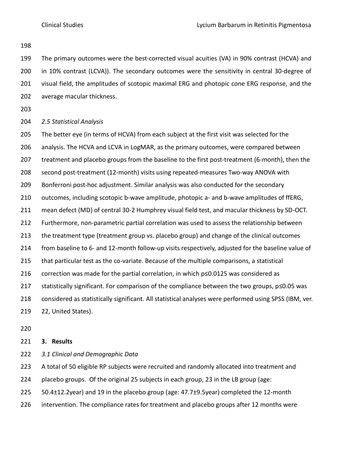The primary outcomes were the best-corrected visual acuities (VA) in 90% contrast (HCVA) and in 10% contrast (LCVA)). The secondary outcomes were the sensitivity in central 30-degree of visual field, the amplitudes of scotopic maximal ERG and photopic cone ERG response, and the average macular thickness.

# *2.5 Statistical Analysis*

 The better eye (in terms of HCVA) from each subject at the first visit was selected for the analysis. The HCVA and LCVA in LogMAR, as the primary outcomes, were compared between 207 treatment and placebo groups from the baseline to the first post-treatment (6-month), then the second post-treatment (12-month) visits using repeated-measures Two-way ANOVA with Bonferroni post-hoc adjustment. Similar analysis was also conducted for the secondary 210 outcomes, including scotopic b-wave amplitude, photopic a- and b-wave amplitudes of ffERG, mean defect (MD) of central 30-2 Humphrey visual field test, and macular thickness by SD-OCT. Furthermore, non-parametric partial correlation was used to assess the relationship between the treatment type (treatment group vs. placebo group) and change of the clinical outcomes from baseline to 6- and 12-month follow-up visits respectively, adjusted for the baseline value of that particular test as the co-variate. Because of the multiple comparisons, a statistical correction was made for the partial correlation, in which p≤0.0125 was considered as statistically significant. For comparison of the compliance between the two groups, p≤0.05 was considered as statistically significant. All statistical analyses were performed using SPSS (IBM, ver. 22, United States).

# **3. Results**

- *3.1 Clinical and Demographic Data*
- A total of 50 eligible RP subjects were recruited and randomly allocated into treatment and
- placebo groups. Of the original 25 subjects in each group, 23 in the LB group (age:
- 50.4±12.2year) and 19 in the placebo group (age: 47.7±9.5year) completed the 12-month
- intervention. The compliance rates for treatment and placebo groups after 12 months were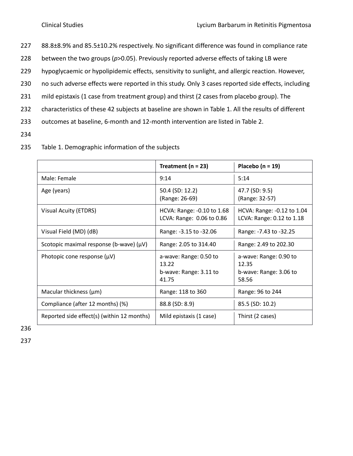- 227 88.8±8.9% and 85.5±10.2% respectively. No significant difference was found in compliance rate
- 228 between the two groups (*p*>0.05). Previously reported adverse effects of taking LB were
- 229 hypoglycaemic or hypolipidemic effects, sensitivity to sunlight, and allergic reaction. However,
- 230 no such adverse effects were reported in this study. Only 3 cases reported side effects, including
- 231 mild epistaxis (1 case from treatment group) and thirst (2 cases from placebo group). The
- 232 characteristics of these 42 subjects at baseline are shown in Table 1. All the results of different
- 233 outcomes at baseline, 6-month and 12-month intervention are listed in Table 2.
- 234

|                                              | Treatment ( $n = 23$ )                                             | Placebo ( $n = 19$ )                                               |
|----------------------------------------------|--------------------------------------------------------------------|--------------------------------------------------------------------|
| Male: Female                                 | 9:14                                                               | 5:14                                                               |
| Age (years)                                  | 50.4 (SD: 12.2)<br>(Range: 26-69)                                  | 47.7 (SD: 9.5)<br>(Range: 32-57)                                   |
| Visual Acuity (ETDRS)                        | HCVA: Range: -0.10 to 1.68<br>LCVA: Range: 0.06 to 0.86            | HCVA: Range: -0.12 to 1.04<br>LCVA: Range: 0.12 to 1.18            |
| Visual Field (MD) (dB)                       | Range: -3.15 to -32.06                                             | Range: -7.43 to -32.25                                             |
| Scotopic maximal response (b-wave) $(\mu V)$ | Range: 2.05 to 314.40                                              | Range: 2.49 to 202.30                                              |
| Photopic cone response $(\mu V)$             | a-wave: Range: 0.50 to<br>13.22<br>b-wave: Range: 3.11 to<br>41.75 | a-wave: Range: 0.90 to<br>12.35<br>b-wave: Range: 3.06 to<br>58.56 |
| Macular thickness $(\mu m)$                  | Range: 118 to 360                                                  | Range: 96 to 244                                                   |
| Compliance (after 12 months) (%)             | 88.8 (SD: 8.9)                                                     | 85.5 (SD: 10.2)                                                    |
| Reported side effect(s) (within 12 months)   | Mild epistaxis (1 case)                                            | Thirst (2 cases)                                                   |

235 Table 1. Demographic information of the subjects

236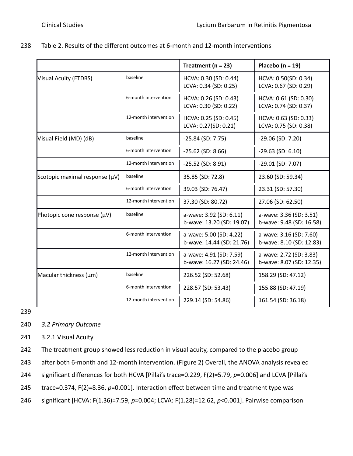|                                |                       | Treatment ( $n = 23$ )                               | Placebo ( $n = 19$ )                                |
|--------------------------------|-----------------------|------------------------------------------------------|-----------------------------------------------------|
| Visual Acuity (ETDRS)          | baseline              | HCVA: 0.30 (SD: 0.44)<br>LCVA: 0.34 (SD: 0.25)       | HCVA: 0.50(SD: 0.34)<br>LCVA: 0.67 (SD: 0.29)       |
|                                | 6-month intervention  | HCVA: 0.26 (SD: 0.43)<br>LCVA: 0.30 (SD: 0.22)       | HCVA: 0.61 (SD: 0.30)<br>LCVA: 0.74 (SD: 0.37)      |
|                                | 12-month intervention | HCVA: 0.25 (SD: 0.45)<br>LCVA: 0.27(SD: 0.21)        | HCVA: 0.63 (SD: 0.33)<br>LCVA: 0.75 (SD: 0.38)      |
| Visual Field (MD) (dB)         | baseline              | $-25.84$ (SD: 7.75)                                  | $-29.06$ (SD: 7.20)                                 |
|                                | 6-month intervention  | $-25.62$ (SD: 8.66)                                  | $-29.63$ (SD: 6.10)                                 |
|                                | 12-month intervention | $-25.52$ (SD: 8.91)                                  | $-29.01$ (SD: 7.07)                                 |
| Scotopic maximal response (µV) | baseline              | 35.85 (SD: 72.8)                                     | 23.60 (SD: 59.34)                                   |
|                                | 6-month intervention  | 39.03 (SD: 76.47)                                    | 23.31 (SD: 57.30)                                   |
|                                | 12-month intervention | 37.30 (SD: 80.72)                                    | 27.06 (SD: 62.50)                                   |
| Photopic cone response (µV)    | baseline              | a-wave: 3.92 (SD: 6.11)<br>b-wave: 13.20 (SD: 19.07) | a-wave: 3.36 (SD: 3.51)<br>b-wave: 9.48 (SD: 16.58) |
|                                | 6-month intervention  | a-wave: 5.00 (SD: 4.22)<br>b-wave: 14.44 (SD: 21.76) | a-wave: 3.16 (SD: 7.60)<br>b-wave: 8.10 (SD: 12.83) |
|                                | 12-month intervention | a-wave: 4.91 (SD: 7.59)<br>b-wave: 16.27 (SD: 24.46) | a-wave: 2.72 (SD: 3.83)<br>b-wave: 8.07 (SD: 12.35) |
| Macular thickness (µm)         | baseline              | 226.52 (SD: 52.68)                                   | 158.29 (SD: 47.12)                                  |
|                                | 6-month intervention  | 228.57 (SD: 53.43)                                   | 155.88 (SD: 47.19)                                  |
|                                | 12-month intervention | 229.14 (SD: 54.86)                                   | 161.54 (SD: 36.18)                                  |

| 238 | Table 2. Results of the different outcomes at 6-month and 12-month interventions |
|-----|----------------------------------------------------------------------------------|
|-----|----------------------------------------------------------------------------------|

- 240 *3.2 Primary Outcome*
- 241 3.2.1 Visual Acuity
- 242 The treatment group showed less reduction in visual acuity, compared to the placebo group
- 243 after both 6-month and 12-month intervention. (Figure 2) Overall, the ANOVA analysis revealed
- 244 significant differences for both HCVA [Pillai's trace=0.229, F(2)=5.79, *p*=0.006] and LCVA [Pillai's
- 245 trace=0.374, F(2)=8.36, *p*=0.001]. Interaction effect between time and treatment type was
- 246 significant [HCVA: F(1.36)=7.59, *p*=0.004; LCVA: F(1.28)=12.62, *p*<0.001]. Pairwise comparison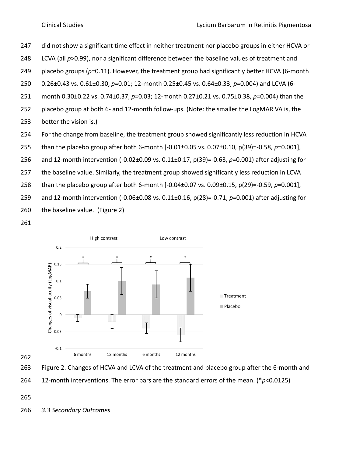did not show a significant time effect in neither treatment nor placebo groups in either HCVA or

- LCVA (all *p*>0.99), nor a significant difference between the baseline values of treatment and
- placebo groups (*p*=0.11). However, the treatment group had significantly better HCVA (6-month
- 0.26±0.43 vs. 0.61±0.30, *p*=0.01; 12-month 0.25±0.45 vs. 0.64±0.33, *p*=0.004) and LCVA (6-
- month 0.30±0.22 vs. 0.74±0.37, *p*=0.03; 12-month 0.27±0.21 vs. 0.75±0.38, *p*=0.004) than the
- placebo group at both 6- and 12-month follow-ups. (Note: the smaller the LogMAR VA is, the
- better the vision is.)
- For the change from baseline, the treatment group showed significantly less reduction in HCVA
- than the placebo group after both 6-month [-0.01±0.05 vs. 0.07±0.10, ρ(39)=-0.58, *p*=0.001],
- and 12-month intervention (-0.02±0.09 vs. 0.11±0.17, ρ(39)=-0.63, *p*=0.001) after adjusting for
- 257 the baseline value. Similarly, the treatment group showed significantly less reduction in LCVA
- than the placebo group after both 6-month [-0.04±0.07 vs. 0.09±0.15, ρ(29)=-0.59, *p*=0.001],
- and 12-month intervention (-0.06±0.08 vs. 0.11±0.16, ρ(28)=-0.71, *p*=0.001) after adjusting for
- the baseline value. (Figure 2)
- 





12-month interventions. The error bars are the standard errors of the mean. (\**p*<0.0125)

*3.3 Secondary Outcomes*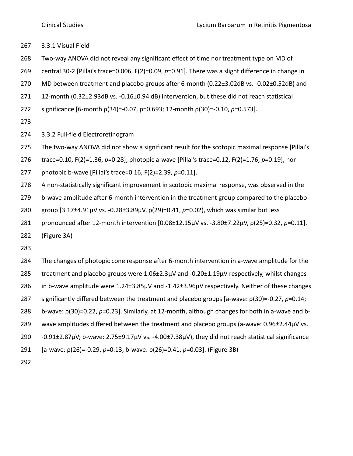- 3.3.1 Visual Field
- Two-way ANOVA did not reveal any significant effect of time nor treatment type on MD of
- central 30-2 [Pillai's trace=0.006, F(2)=0.09, *p*=0.91]. There was a slight difference in change in
- MD between treatment and placebo groups after 6-month (0.22±3.02dB vs. -0.02±0.52dB) and
- 12-month (0.32±2.93dB vs. -0.16±0.94 dB) intervention, but these did not reach statistical
- significance [6-month ρ(34)=-0.07, p=0.693; 12-month ρ(30)=-0.10, *p*=0.573].
- 
- 3.3.2 Full-field Electroretinogram
- The two-way ANOVA did not show a significant result for the scotopic maximal response [Pillai's
- trace=0.10, F(2)=1.36, *p*=0.28], photopic a-wave [Pillai's trace=0.12, F(2)=1.76, *p*=0.19], nor
- photopic b-wave [Pillai's trace=0.16, F(2)=2.39, *p*=0.11].
- A non-statistically significant improvement in scotopic maximal response, was observed in the
- b-wave amplitude after 6-month intervention in the treatment group compared to the placebo
- group [3.17±4.91µV vs. -0.28±3.89µV, ρ(29)=0.41, *p*=0.02), which was similar but less
- pronounced after 12-month intervention [0.08±12.15µV vs. -3.80±7.22µV, ρ(25)=0.32, *p*=0.11].
- (Figure 3A)
- 
- The changes of photopic cone response after 6-month intervention in a-wave amplitude for the treatment and placebo groups were 1.06±2.3µV and -0.20±1.19µV respectively, whilst changes in b-wave amplitude were 1.24±3.85µV and -1.42±3.96µV respectively. Neither of these changes significantly differed between the treatment and placebo groups [a-wave: ρ(30)=-0.27, *p*=0.14; b-wave: ρ(30)=0.22, *p*=0.23]. Similarly, at 12-month, although changes for both in a-wave and b-289 wave amplitudes differed between the treatment and placebo groups (a-wave: 0.96±2.44µV vs. -0.91±2.87µV; b-wave: 2.75±9.17µV vs. -4.00±7.38µV), they did not reach statistical significance [a-wave: ρ(26)=-0.29, *p*=0.13; b-wave: ρ(26)=0.41, *p*=0.03]. (Figure 3B)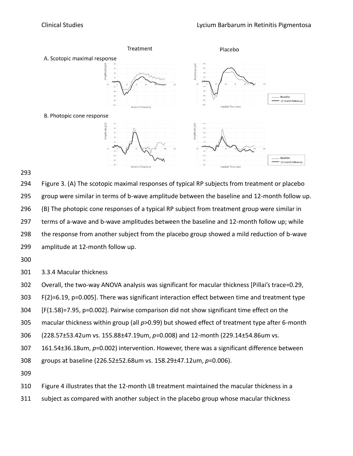

 Figure 3. (A) The scotopic maximal responses of typical RP subjects from treatment or placebo group were similar in terms of b-wave amplitude between the baseline and 12-month follow up. (B) The photopic cone responses of a typical RP subject from treatment group were similar in terms of a-wave and b-wave amplitudes between the baseline and 12-month follow up; while the response from another subject from the placebo group showed a mild reduction of b-wave amplitude at 12-month follow up.

3.3.4 Macular thickness

Overall, the two-way ANOVA analysis was significant for macular thickness [Pillai's trace=0.29,

F(2)=6.19, p=0.005]. There was significant interaction effect between time and treatment type

[F(1.58)=7.95, p=0.002]. Pairwise comparison did not show significant time effect on the

macular thickness within group (all *p*>0.99) but showed effect of treatment type after 6-month

(228.57±53.42um vs. 155.88±47.19um, *p*=0.008) and 12-month (229.14±54.86um vs.

161.54±36.18um, *p*=0.002) intervention. However, there was a significant difference between

groups at baseline (226.52±52.68um vs. 158.29±47.12um, *p*=0.006).

Figure 4 illustrates that the 12-month LB treatment maintained the macular thickness in a

subject as compared with another subject in the placebo group whose macular thickness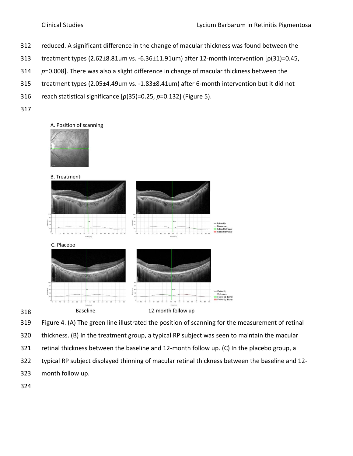- reduced. A significant difference in the change of macular thickness was found between the
- treatment types (2.62±8.81um vs. -6.36±11.91um) after 12-month intervention [ρ(31)=0.45,
- *p*=0.008]. There was also a slight difference in change of macular thickness between the
- treatment types (2.05±4.49um vs. -1.83±8.41um) after 6-month intervention but it did not
- reach statistical significance [ρ(35)=0.25, *p*=0.132] (Figure 5).
- 

# A. Position of scanning





Figure 4. (A) The green line illustrated the position of scanning for the measurement of retinal

- thickness. (B) In the treatment group, a typical RP subject was seen to maintain the macular
- retinal thickness between the baseline and 12-month follow up. (C) In the placebo group, a
- typical RP subject displayed thinning of macular retinal thickness between the baseline and 12-
- month follow up.
-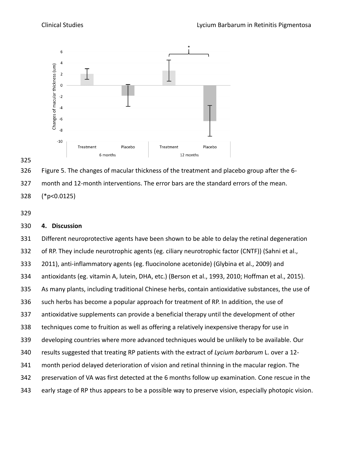

Figure 5. The changes of macular thickness of the treatment and placebo group after the 6-

month and 12-month interventions. The error bars are the standard errors of the mean.

(\*p<0.0125)

# **4. Discussion**

 Different neuroprotective agents have been shown to be able to delay the retinal degeneration of RP. They include neurotrophic agents (eg. ciliary neurotrophic factor (CNTF)) (Sahni et al., 2011), anti-inflammatory agents (eg. fluocinolone acetonide) (Glybina et al., 2009) and antioxidants (eg. vitamin A, lutein, DHA, etc.) (Berson et al., 1993, 2010; Hoffman et al., 2015). As many plants, including traditional Chinese herbs, contain antioxidative substances, the use of such herbs has become a popular approach for treatment of RP. In addition, the use of antioxidative supplements can provide a beneficial therapy until the development of other techniques come to fruition as well as offering a relatively inexpensive therapy for use in developing countries where more advanced techniques would be unlikely to be available. Our results suggested that treating RP patients with the extract of *Lycium barbarum* L. over a 12- month period delayed deterioration of vision and retinal thinning in the macular region. The preservation of VA was first detected at the 6 months follow up examination. Cone rescue in the early stage of RP thus appears to be a possible way to preserve vision, especially photopic vision.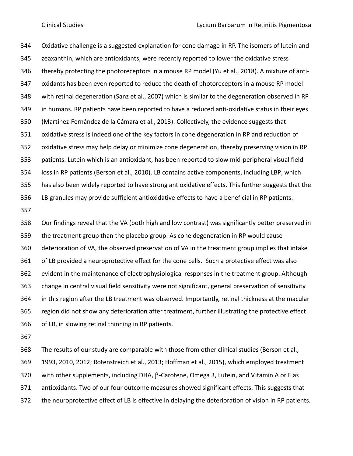Oxidative challenge is a suggested explanation for cone damage in RP. The isomers of lutein and zeaxanthin, which are antioxidants, were recently reported to lower the oxidative stress thereby protecting the photoreceptors in a mouse RP model (Yu et al., 2018). A mixture of anti- oxidants has been even reported to reduce the death of photoreceptors in a mouse RP model with retinal degeneration (Sanz et al., 2007) which is similar to the degeneration observed in RP in humans. RP patients have been reported to have a reduced anti-oxidative status in their eyes (Martínez-Fernández de la Cámara et al., 2013). Collectively, the evidence suggests that oxidative stress is indeed one of the key factors in cone degeneration in RP and reduction of oxidative stress may help delay or minimize cone degeneration, thereby preserving vision in RP patients. Lutein which is an antioxidant, has been reported to slow mid-peripheral visual field loss in RP patients (Berson et al., 2010). LB contains active components, including LBP, which has also been widely reported to have strong antioxidative effects. This further suggests that the LB granules may provide sufficient antioxidative effects to have a beneficial in RP patients.

 Our findings reveal that the VA (both high and low contrast) was significantly better preserved in the treatment group than the placebo group. As cone degeneration in RP would cause deterioration of VA, the observed preservation of VA in the treatment group implies that intake of LB provided a neuroprotective effect for the cone cells. Such a protective effect was also evident in the maintenance of electrophysiological responses in the treatment group. Although change in central visual field sensitivity were not significant, general preservation of sensitivity in this region after the LB treatment was observed. Importantly, retinal thickness at the macular region did not show any deterioration after treatment, further illustrating the protective effect of LB, in slowing retinal thinning in RP patients.

 The results of our study are comparable with those from other clinical studies (Berson et al., 1993, 2010, 2012; Rotenstreich et al., 2013; Hoffman et al., 2015), which employed treatment 370 with other supplements, including DHA,  $\beta$ -Carotene, Omega 3, Lutein, and Vitamin A or E as antioxidants. Two of our four outcome measures showed significant effects. This suggests that the neuroprotective effect of LB is effective in delaying the deterioration of vision in RP patients.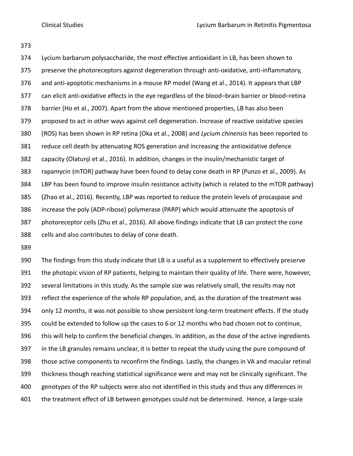Lycium barbarum polysaccharide, the most effective antioxidant in LB, has been shown to preserve the photoreceptors against degeneration through anti-oxidative, anti-inflammatory, and anti-apoptotic mechanisms in a mouse RP model (Wang et al., 2014). It appears that LBP can elicit anti-oxidative effects in the eye regardless of the blood–brain barrier or blood–retina barrier (Ho et al., 2007). Apart from the above mentioned properties, LB has also been proposed to act in other ways against cell degeneration. Increase of reactive oxidative species (ROS) has been shown in RP retina (Oka et al., 2008) and *Lycium chinensis* has been reported to reduce cell death by attenuating ROS generation and increasing the antioxidative defence capacity (Olatunji et al., 2016). In addition, changes in the insulin/mechanistic target of rapamycin (mTOR) pathway have been found to delay cone death in RP (Punzo et al., 2009). As LBP has been found to improve insulin resistance activity (which is related to the mTOR pathway) (Zhao et al., 2016). Recently, LBP was reported to reduce the protein levels of procaspase and increase the poly (ADP-ribose) polymerase (PARP) which would attenuate the apoptosis of photoreceptor cells (Zhu et al., 2016). All above findings indicate that LB can protect the cone cells and also contributes to delay of cone death.

 The findings from this study indicate that LB is a useful as a supplement to effectively preserve the photopic vision of RP patients, helping to maintain their quality of life. There were, however, several limitations in this study. As the sample size was relatively small, the results may not reflect the experience of the whole RP population, and, as the duration of the treatment was only 12 months, it was not possible to show persistent long-term treatment effects. If the study could be extended to follow up the cases to 6 or 12 months who had chosen not to continue, this will help to confirm the beneficial changes. In addition, as the dose of the active ingredients in the LB granules remains unclear, it is better to repeat the study using the pure compound of those active components to reconfirm the findings. Lastly, the changes in VA and macular retinal thickness though reaching statistical significance were and may not be clinically significant. The genotypes of the RP subjects were also not identified in this study and thus any differences in the treatment effect of LB between genotypes could not be determined. Hence, a large-scale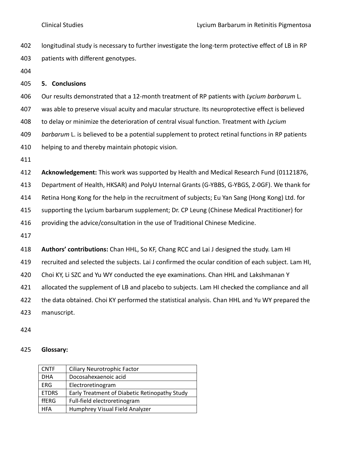- longitudinal study is necessary to further investigate the long-term protective effect of LB in RP patients with different genotypes.
- 

# **5. Conclusions**

 Our results demonstrated that a 12-month treatment of RP patients with *Lycium barbarum* L. was able to preserve visual acuity and macular structure. Its neuroprotective effect is believed to delay or minimize the deterioration of central visual function. Treatment with *Lycium barbarum* L. is believed to be a potential supplement to protect retinal functions in RP patients helping to and thereby maintain photopic vision.

 **Acknowledgement:** This work was supported by Health and Medical Research Fund (01121876, Department of Health, HKSAR) and PolyU Internal Grants (G-YBBS, G-YBGS, Z-0GF). We thank for Retina Hong Kong for the help in the recruitment of subjects; Eu Yan Sang (Hong Kong) Ltd. for supporting the Lycium barbarum supplement; Dr. CP Leung (Chinese Medical Practitioner) for providing the advice/consultation in the use of Traditional Chinese Medicine.

 **Authors' contributions:** Chan HHL, So KF, Chang RCC and Lai J designed the study. Lam HI recruited and selected the subjects. Lai J confirmed the ocular condition of each subject. Lam HI, Choi KY, Li SZC and Yu WY conducted the eye examinations. Chan HHL and Lakshmanan Y 421 allocated the supplement of LB and placebo to subjects. Lam HI checked the compliance and all the data obtained. Choi KY performed the statistical analysis. Chan HHL and Yu WY prepared the manuscript.

### **Glossary:**

| <b>CNTF</b>  | <b>Ciliary Neurotrophic Factor</b>            |
|--------------|-----------------------------------------------|
| <b>DHA</b>   | Docosahexaenoic acid                          |
| <b>ERG</b>   | Electroretinogram                             |
| <b>ETDRS</b> | Early Treatment of Diabetic Retinopathy Study |
| ffERG        | Full-field electroretinogram                  |
| <b>HFA</b>   | Humphrey Visual Field Analyzer                |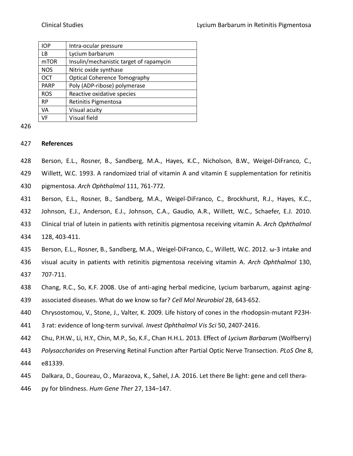| <b>IOP</b>  | Intra-ocular pressure                   |
|-------------|-----------------------------------------|
| ΙB.         | Lycium barbarum                         |
| <b>mTOR</b> | Insulin/mechanistic target of rapamycin |
| <b>NOS</b>  | Nitric oxide synthase                   |
| OCT         | <b>Optical Coherence Tomography</b>     |
| <b>PARP</b> | Poly (ADP-ribose) polymerase            |
| <b>ROS</b>  | Reactive oxidative species              |
| <b>RP</b>   | Retinitis Pigmentosa                    |
| <b>VA</b>   | Visual acuity                           |
| VF          | Visual field                            |

# **References**

Berson, E.L., Rosner, B., Sandberg, M.A., Hayes, K.C., Nicholson, B.W., Weigel-DiFranco, C.,

Willett, W.C. 1993. A randomized trial of vitamin A and vitamin E supplementation for retinitis

- pigmentosa. *Arch Ophthalmol* 111, 761-772.
- Berson, E.L., Rosner, B., Sandberg, M.A., [Weigel-DiFranco, C.](https://www.ncbi.nlm.nih.gov/pubmed/?term=Weigel-DiFranco%20C%5BAuthor%5D&cauthor=true&cauthor_uid=20385935), [Brockhurst, R.J.](https://www.ncbi.nlm.nih.gov/pubmed/?term=Brockhurst%20RJ%5BAuthor%5D&cauthor=true&cauthor_uid=20385935), [Hayes, K.C.](https://www.ncbi.nlm.nih.gov/pubmed/?term=Hayes%20KC%5BAuthor%5D&cauthor=true&cauthor_uid=20385935),
- [Johnson, E.J.](https://www.ncbi.nlm.nih.gov/pubmed/?term=Johnson%20EJ%5BAuthor%5D&cauthor=true&cauthor_uid=20385935), [Anderson, E.J.](https://www.ncbi.nlm.nih.gov/pubmed/?term=Anderson%20EJ%5BAuthor%5D&cauthor=true&cauthor_uid=20385935), [Johnson, C.A.](https://www.ncbi.nlm.nih.gov/pubmed/?term=Johnson%20CA%5BAuthor%5D&cauthor=true&cauthor_uid=20385935), [Gaudio, A.R.](https://www.ncbi.nlm.nih.gov/pubmed/?term=Gaudio%20AR%5BAuthor%5D&cauthor=true&cauthor_uid=20385935), [Willett, W.C.](https://www.ncbi.nlm.nih.gov/pubmed/?term=Willett%20WC%5BAuthor%5D&cauthor=true&cauthor_uid=20385935), [Schaefer, E.J.](https://www.ncbi.nlm.nih.gov/pubmed/?term=Schaefer%20EJ%5BAuthor%5D&cauthor=true&cauthor_uid=20385935) 2010.
- Clinical trial of lutein in patients with retinitis pigmentosa receiving vitamin A. *Arch Ophthalmol*
- 128, 403-411.
- Berson, E.L., Rosner, B., Sandberg, M.A., Weigel-DiFranco, C., Willett, W.C. 2012*.* ω-3 intake and
- visual acuity in patients with retinitis pigmentosa receiving vitamin A. *Arch Ophthalmol* 130,
- 707-711.
- Chang, R.C., So, K.F. 2008. Use of anti-aging herbal medicine, Lycium barbarum, against aging-
- associated diseases. What do we know so far? *Cell Mol Neurobiol* 28, 643-652.
- Chrysostomou, V., Stone, J., Valter, K. 2009. Life history of cones in the rhodopsin-mutant P23H-
- 3 rat: evidence of long-term survival. *Invest Ophthalmol Vis Sci* 50, 2407-2416.
- Chu, P.H.W., Li, H.Y., Chin, M.P., So, K.F., Chan H.H.L. 2013. Effect of *Lycium Barbarum* (Wolfberry)
- *Polysaccharides* on Preserving Retinal Function after Partial Optic Nerve Transection. *PLoS One* 8, e81339.
- Dalkara, D., Goureau, O., Marazova, K., Sahel, J.A. 2016. Let there Be light: gene and cell thera-
- py for blindness. *Hum Gene Ther* 27, 134–147.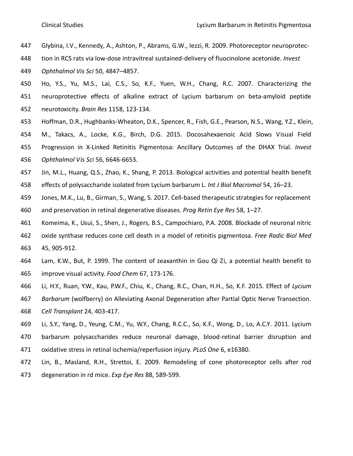- Glybina, I.V., Kennedy, A., Ashton, P., Abrams, G.W., Iezzi, R. 2009. Photoreceptor neuroprotec-
- tion in RCS rats via low-dose intravitreal sustained-delivery of fluocinolone acetonide. *Invest*

*Ophthalmol Vis Sci* 50, 4847–4857.

- Ho, Y.S., Yu, M.S., Lai, C.S., So, K.F., Yuen, W.H., Chang, R.C. 2007. Characterizing the neuroprotective effects of alkaline extract of Lycium barbarum on beta-amyloid peptide neurotoxicity. *Brain Res* 1158, 123-134.
- Hoffman, D.R., Hughbanks-Wheaton, D.K., Spencer, R., [Fish, G.E.](https://www.ncbi.nlm.nih.gov/pubmed/?term=Fish%20GE%5BAuthor%5D&cauthor=true&cauthor_uid=26469750), [Pearson, N.S.](https://www.ncbi.nlm.nih.gov/pubmed/?term=Pearson%20NS%5BAuthor%5D&cauthor=true&cauthor_uid=26469750), [Wang, Y.Z.](https://www.ncbi.nlm.nih.gov/pubmed/?term=Wang%20YZ%5BAuthor%5D&cauthor=true&cauthor_uid=26469750), [Klein,](https://www.ncbi.nlm.nih.gov/pubmed/?term=Klein%20M%5BAuthor%5D&cauthor=true&cauthor_uid=26469750)
- [M.](https://www.ncbi.nlm.nih.gov/pubmed/?term=Klein%20M%5BAuthor%5D&cauthor=true&cauthor_uid=26469750), [Takacs, A.](https://www.ncbi.nlm.nih.gov/pubmed/?term=Takacs%20A%5BAuthor%5D&cauthor=true&cauthor_uid=26469750), [Locke, K.G.](https://www.ncbi.nlm.nih.gov/pubmed/?term=Locke%20KG%5BAuthor%5D&cauthor=true&cauthor_uid=26469750), [Birch, D.G.](https://www.ncbi.nlm.nih.gov/pubmed/?term=Birch%20DG%5BAuthor%5D&cauthor=true&cauthor_uid=26469750) 2015. Docosahexaenoic Acid Slows Visual Field
- Progression in X-Linked Retinitis Pigmentosa: Ancillary Outcomes of the DHAX Trial. *Invest Ophthalmol Vis Sci* 56, 6646-6653.
- Jin, M.L., Huang, Q.S., Zhao, K., Shang, P. 2013. Biological activities and potential health benefit effects of polysaccharide isolated from Lycium barbarum L. *Int J Biol Macromol* 54, 16–23.
- Jones, M.K., Lu, B., Girman, S., Wang, S. 2017. Cell-based therapeutic strategies for replacement
- and preservation in retinal degenerative diseases. *Prog Retin Eye Res* 58, 1–27.
- Komeima, K., Usui, S., Shen, J., [Rogers, B.S.](https://www.ncbi.nlm.nih.gov/pubmed/?term=Rogers%20BS%5BAuthor%5D&cauthor=true&cauthor_uid=18634866), [Campochiaro, P.A](https://www.ncbi.nlm.nih.gov/pubmed/?term=Campochiaro%20PA%5BAuthor%5D&cauthor=true&cauthor_uid=18634866)*.* 2008. Blockade of neuronal nitric
- oxide synthase reduces cone cell death in a model of retinitis pigmentosa. *Free Radic Biol Med* 45, 905-912.
- Lam, K.W., But, P. 1999. The content of zeaxanthin in Gou Qi Zi, a potential health benefit to improve visual activity. *Food Chem* 67, 173-176.
- Li, H.Y., Ruan, Y.W., Kau, P.W.F., Chiu, K., Chang, R.C., Chan, H.H., So, K.F. 2015. Effect of *Lycium*
- *Barbarum* (wolfberry) on Alleviating Axonal Degeneration after Partial Optic Nerve Transection. *Cell Transplant* 24, 403-417.
- Li, S.Y., Yang, D., Yeung, C.M., Yu, W.Y., Chang, R.C.C., So, K.F., Wong, D., Lo, A.C.Y*.* 2011. Lycium barbarum polysaccharides reduce neuronal damage, blood-retinal barrier disruption and oxidative stress in retinal ischemia/reperfusion injury. *PLoS One* 6, e16380.
- Lin, B., Masland, R.H., Strettoi, E. 2009. Remodeling of cone photoreceptor cells after rod degeneration in rd mice. *Exp Eye Res* 88, 589-599.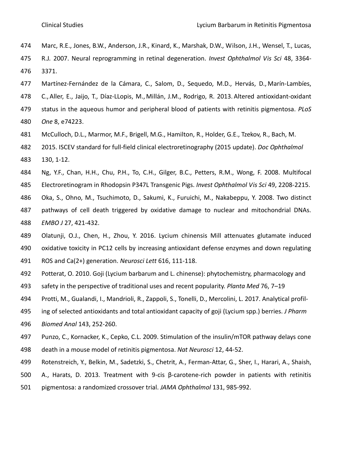- Marc, R.E., Jones, B.W., Anderson, J.R., [Kinard, K.](https://www.ncbi.nlm.nih.gov/pubmed/?term=Kinard%20K%5BAuthor%5D&cauthor=true&cauthor_uid=17591910), [Marshak, D.W.](https://www.ncbi.nlm.nih.gov/pubmed/?term=Marshak%20DW%5BAuthor%5D&cauthor=true&cauthor_uid=17591910), [Wilson, J.H.](https://www.ncbi.nlm.nih.gov/pubmed/?term=Wilson%20JH%5BAuthor%5D&cauthor=true&cauthor_uid=17591910), [Wensel, T.](https://www.ncbi.nlm.nih.gov/pubmed/?term=Wensel%20T%5BAuthor%5D&cauthor=true&cauthor_uid=17591910), [Lucas,](https://www.ncbi.nlm.nih.gov/pubmed/?term=Lucas%20RJ%5BAuthor%5D&cauthor=true&cauthor_uid=17591910)
- [R.J](https://www.ncbi.nlm.nih.gov/pubmed/?term=Lucas%20RJ%5BAuthor%5D&cauthor=true&cauthor_uid=17591910)*.* 2007. Neural reprogramming in retinal degeneration. *Invest Ophthalmol Vis Sci* 48, 3364- 3371.
- Martínez-Fernández de la Cámara, C., Salom, D., Sequedo, M.D., [Hervás,](https://www.ncbi.nlm.nih.gov/pubmed/?term=Herv%26%23x000e1%3Bs%20D%5BAuthor%5D&cauthor=true&cauthor_uid=24069283) D., [Marín-Lambíes,](https://www.ncbi.nlm.nih.gov/pubmed/?term=Mar%26%23x000ed%3Bn-Lamb%26%23x000ed%3Bes%20C%5BAuthor%5D&cauthor=true&cauthor_uid=24069283)
- C., [Aller,](https://www.ncbi.nlm.nih.gov/pubmed/?term=Aller%20E%5BAuthor%5D&cauthor=true&cauthor_uid=24069283) E., [Jaijo,](https://www.ncbi.nlm.nih.gov/pubmed/?term=Jaijo%20T%5BAuthor%5D&cauthor=true&cauthor_uid=24069283) T., [Díaz-LLopis,](https://www.ncbi.nlm.nih.gov/pubmed/?term=D%26%23x000ed%3Baz-LLopis%20M%5BAuthor%5D&cauthor=true&cauthor_uid=24069283) M., [Millán,](https://www.ncbi.nlm.nih.gov/pubmed/?term=Mill%26%23x000e1%3Bn%20JM%5BAuthor%5D&cauthor=true&cauthor_uid=24069283) J.M., [Rodrigo,](https://www.ncbi.nlm.nih.gov/pubmed/?term=Rodrigo%20R%5BAuthor%5D&cauthor=true&cauthor_uid=24069283) R. 2013. Altered antioxidant-oxidant
- status in the aqueous humor and peripheral blood of patients with retinitis pigmentosa. *PLoS*
- *One* 8, e74223.
- [McCulloch, D.L.](https://www.ncbi.nlm.nih.gov/pubmed/?term=McCulloch%20DL%5BAuthor%5D&cauthor=true&cauthor_uid=25502644), [Marmor, M.F.](https://www.ncbi.nlm.nih.gov/pubmed/?term=Marmor%20MF%5BAuthor%5D&cauthor=true&cauthor_uid=25502644), [Brigell, M.G.](https://www.ncbi.nlm.nih.gov/pubmed/?term=Brigell%20MG%5BAuthor%5D&cauthor=true&cauthor_uid=25502644), [Hamilton, R.](https://www.ncbi.nlm.nih.gov/pubmed/?term=Hamilton%20R%5BAuthor%5D&cauthor=true&cauthor_uid=25502644), [Holder, G.E.](https://www.ncbi.nlm.nih.gov/pubmed/?term=Holder%20GE%5BAuthor%5D&cauthor=true&cauthor_uid=25502644)[, Tzekov, R.](https://www.ncbi.nlm.nih.gov/pubmed/?term=Tzekov%20R%5BAuthor%5D&cauthor=true&cauthor_uid=25502644), [Bach, M.](https://www.ncbi.nlm.nih.gov/pubmed/?term=Bach%20M%5BAuthor%5D&cauthor=true&cauthor_uid=25502644)
- 2015. ISCEV standard for full-field clinical electroretinography (2015 update). *[Doc Ophthalmol](https://www.ncbi.nlm.nih.gov/pubmed/25502644)* 130, 1-12.
- Ng, Y.F., Chan, H.H., Chu, P.H., To, C.H., Gilger, B.C., Petters, R.M., Wong, F. 2008. Multifocal
- Electroretinogram in Rhodopsin P347L Transgenic Pigs. *Invest Ophthalmol Vis Sci* 49, 2208-2215.
- Oka, S., Ohno, M., Tsuchimoto, D., [Sakumi, K.](https://www.ncbi.nlm.nih.gov/pubmed/?term=Sakumi%20K%5BAuthor%5D&cauthor=true&cauthor_uid=18188152), [Furuichi, M.](https://www.ncbi.nlm.nih.gov/pubmed/?term=Furuichi%20M%5BAuthor%5D&cauthor=true&cauthor_uid=18188152), [Nakabeppu, Y.](https://www.ncbi.nlm.nih.gov/pubmed/?term=Nakabeppu%20Y%5BAuthor%5D&cauthor=true&cauthor_uid=18188152) 2008. Two distinct
- pathways of cell death triggered by oxidative damage to nuclear and mitochondrial DNAs. *EMBO J* 27, 421-432.
- Olatunji, O.J., Chen, H., Zhou, Y. 2016. Lycium chinensis Mill attenuates glutamate induced oxidative toxicity in PC12 cells by increasing antioxidant defense enzymes and down regulating
- ROS and Ca(2+) generation. *Neurosci Lett* 616, 111-118.
- Potterat, O. 2010. Goji (Lycium barbarum and L. chinense): phytochemistry, pharmacology and
- safety in the perspective of traditional uses and recent popularity. *Planta Med* 76, 7–19
- [Protti, M.](https://www.ncbi.nlm.nih.gov/pubmed/?term=Protti%20M%5BAuthor%5D&cauthor=true&cauthor_uid=28618341), [Gualandi, I.](https://www.ncbi.nlm.nih.gov/pubmed/?term=Gualandi%20I%5BAuthor%5D&cauthor=true&cauthor_uid=28618341), [Mandrioli, R.](https://www.ncbi.nlm.nih.gov/pubmed/?term=Mandrioli%20R%5BAuthor%5D&cauthor=true&cauthor_uid=28618341), [Zappoli, S.](https://www.ncbi.nlm.nih.gov/pubmed/?term=Zappoli%20S%5BAuthor%5D&cauthor=true&cauthor_uid=28618341), [Tonelli, D.](https://www.ncbi.nlm.nih.gov/pubmed/?term=Tonelli%20D%5BAuthor%5D&cauthor=true&cauthor_uid=28618341), [Mercolini, L.](https://www.ncbi.nlm.nih.gov/pubmed/?term=Mercolini%20L%5BAuthor%5D&cauthor=true&cauthor_uid=28618341) 2017. Analytical profil-
- ing of selected antioxidants and total antioxidant capacity of goji (Lycium spp.) berries. *[J Pharm](https://www.ncbi.nlm.nih.gov/pubmed/?term=Protti+M+ANd+Gualandi+I)*
- *[Biomed Anal](https://www.ncbi.nlm.nih.gov/pubmed/?term=Protti+M+ANd+Gualandi+I)* 143, 252-260.
- Punzo, C., Kornacker, K., Cepko, C.L. 2009. Stimulation of the insulin/mTOR pathway delays cone death in a mouse model of retinitis pigmentosa. *Nat Neurosci* 12, 44-52.
- Rotenstreich, Y., Belkin, M., Sadetzki, S., [Chetrit, A.](https://www.ncbi.nlm.nih.gov/pubmed/?term=Chetrit%20A%5BAuthor%5D&cauthor=true&cauthor_uid=23700011), [Ferman-Attar, G.](https://www.ncbi.nlm.nih.gov/pubmed/?term=Ferman-Attar%20G%5BAuthor%5D&cauthor=true&cauthor_uid=23700011), [Sher, I.](https://www.ncbi.nlm.nih.gov/pubmed/?term=Sher%20I%5BAuthor%5D&cauthor=true&cauthor_uid=23700011), [Harari, A.](https://www.ncbi.nlm.nih.gov/pubmed/?term=Harari%20A%5BAuthor%5D&cauthor=true&cauthor_uid=23700011), [Shaish,](https://www.ncbi.nlm.nih.gov/pubmed/?term=Shaish%20A%5BAuthor%5D&cauthor=true&cauthor_uid=23700011)
- [A.](https://www.ncbi.nlm.nih.gov/pubmed/?term=Shaish%20A%5BAuthor%5D&cauthor=true&cauthor_uid=23700011), [Harats, D.](https://www.ncbi.nlm.nih.gov/pubmed/?term=Harats%20D%5BAuthor%5D&cauthor=true&cauthor_uid=23700011) 2013*.* Treatment with 9-cis β-carotene-rich powder in patients with retinitis
- pigmentosa: a randomized crossover trial. *JAMA Ophthalmol* 131, 985-992.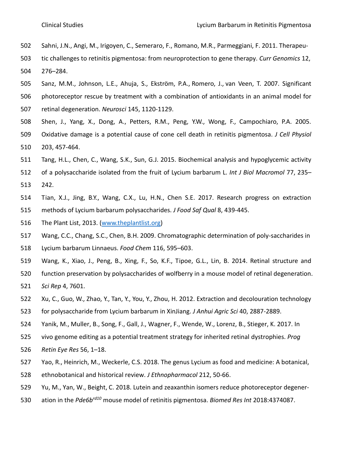- Sahni, J.N., Angi, M., Irigoyen, C., Semeraro, F., Romano, M.R., Parmeggiani, F. 2011. Therapeu-
- tic challenges to retinitis pigmentosa: from neuroprotection to gene therapy. *Curr Genomics* 12, 276–284.
- Sanz, M.M., Johnson, L.E., Ahuja, S., [Ekström, P.A.](https://www.ncbi.nlm.nih.gov/pubmed/?term=Ekstr%C3%B6m%20PA%5BAuthor%5D&cauthor=true&cauthor_uid=17293057), [Romero, J.](https://www.ncbi.nlm.nih.gov/pubmed/?term=Romero%20J%5BAuthor%5D&cauthor=true&cauthor_uid=17293057), [van Veen, T.](https://www.ncbi.nlm.nih.gov/pubmed/?term=van%20Veen%20T%5BAuthor%5D&cauthor=true&cauthor_uid=17293057) 2007. Significant
- photoreceptor rescue by treatment with a combination of antioxidants in an animal model for
- retinal degeneration. *Neurosci* 145, 1120-1129.
- Shen, J., Yang, X., Dong, A., Petters, R.M., Peng, Y.W., Wong, F., Campochiaro, P.A. 2005.
- Oxidative damage is a potential cause of cone cell death in retinitis pigmentosa. *J Cell Physiol* 203, 457-464.
- Tang, H.L., Chen, C., Wang, S.K., Sun, G.J. 2015. Biochemical analysis and hypoglycemic activity
- of a polysaccharide isolated from the fruit of Lycium barbarum L. *Int J Biol Macromol* 77, 235– 242.
- Tian, X.J., Jing, B.Y., Wang, C.X., Lu, H.N., Chen S.E. 2017. Research progress on extraction
- methods of Lycium barbarum polysaccharides. *J Food Saf Qual* 8, 439-445.
- The Plant List, 2013. [\(www.theplantlist.org\)](http://www.theplantlist.org/)
- Wang, C.C., Chang, S.C., Chen, B.H. 2009. Chromatographic determination of poly-saccharides in
- Lycium barbarum Linnaeus. *Food Chem* 116, 595–603.
- Wang, K., Xiao, J., Peng, B., [Xing, F.](https://www.ncbi.nlm.nih.gov/pubmed/?term=Xing%20F%5BAuthor%5D&cauthor=true&cauthor_uid=25535040), [So, K.F.](https://www.ncbi.nlm.nih.gov/pubmed/?term=So%20KF%5BAuthor%5D&cauthor=true&cauthor_uid=25535040), [Tipoe, G.L.](https://www.ncbi.nlm.nih.gov/pubmed/?term=Tipoe%20GL%5BAuthor%5D&cauthor=true&cauthor_uid=25535040), [Lin, B.](https://www.ncbi.nlm.nih.gov/pubmed/?term=Lin%20B%5BAuthor%5D&cauthor=true&cauthor_uid=25535040) 2014. Retinal structure and
- function preservation by polysaccharides of wolfberry in a mouse model of retinal degeneration. *Sci Rep* 4, 7601.
- Xu, C., Guo, W., Zhao, Y., Tan, Y., You, Y., Zhou, H. 2012. Extraction and decolouration technology
- for polysaccharide from Lycium barbarum in XinJiang. *J Anhui Agric Sci* 40, 2887-2889.
- Yanik, M., Muller, B., Song, F., Gall, J., Wagner, F., Wende, W., Lorenz, B., Stieger, K. 2017. In
- vivo genome editing as a potential treatment strategy for inherited retinal dystrophies. *Prog*
- *Retin Eye Res* 56, 1–18.
- Yao, R., Heinrich, M., Weckerle, C.S. 2018. The genus Lycium [as food and medicine: A botanical,](https://www.ncbi.nlm.nih.gov/pubmed/29042287)
- [ethnobotanical and historical review.](https://www.ncbi.nlm.nih.gov/pubmed/29042287) *J Ethnopharmacol* 212, 50-66.
- Yu, M., Yan, W., Beight, C. 2018. Lutein and zeaxanthin isomers reduce photoreceptor degener-
- 530 *ation in the Pde6b<sup>rd10</sup>* mouse model of retinitis pigmentosa. *Biomed Res Int* 2018:4374087.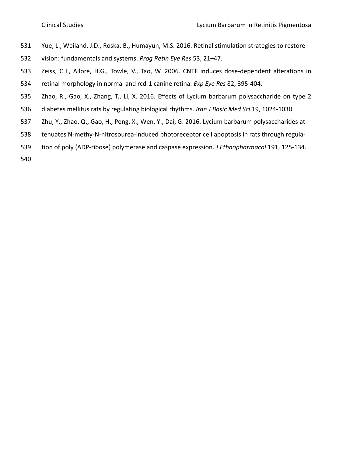- Yue, L., Weiland, J.D., Roska, B., Humayun, M.S. 2016. Retinal stimulation strategies to restore
- vision: fundamentals and systems. *Prog Retin Eye Res* 53, 21–47.
- Zeiss, C.J., Allore, H.G., Towle, V., Tao, W. 2006. CNTF induces dose-dependent alterations in retinal morphology in normal and rcd-1 canine retina. *Exp Eye Res* 82, 395-404.
- Zhao, R., Gao, X., Zhang, T., Li, X. 2016. Effects of Lycium barbarum polysaccharide on type 2 diabetes mellitus rats by regulating biological rhythms. *Iran J Basic Med Sci* 19, 1024-1030.
- 
- Zhu, Y., Zhao, Q., Gao, H., Peng, X., Wen, Y., Dai, G. 2016. Lycium barbarum [polysaccharides at-](https://www.ncbi.nlm.nih.gov/pubmed/27208869)
- [tenuates N-methy-N-nitrosourea-induced photoreceptor cell apoptosis in rats through regula-](https://www.ncbi.nlm.nih.gov/pubmed/27208869)
- [tion of poly \(ADP-ribose\) polymerase and caspase expression.](https://www.ncbi.nlm.nih.gov/pubmed/27208869) *J Ethnopharmacol* 191, 125-134.